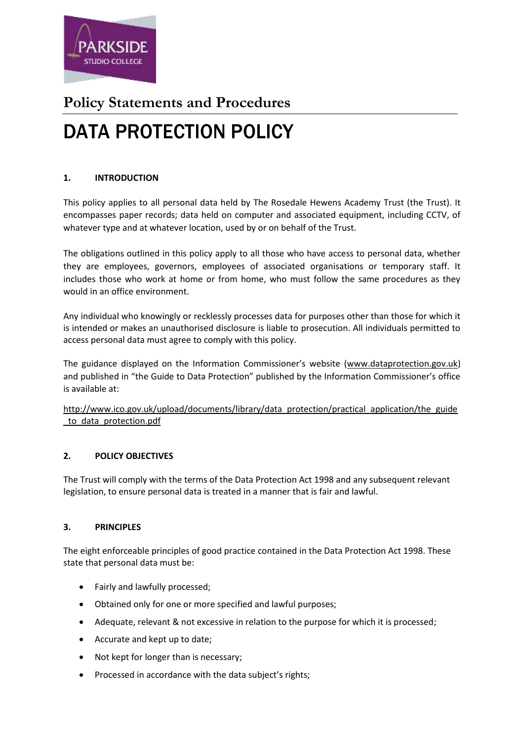

# **Policy Statements and Procedures** DATA PROTECTION POLICY

# **1. INTRODUCTION**

This policy applies to all personal data held by The Rosedale Hewens Academy Trust (the Trust). It encompasses paper records; data held on computer and associated equipment, including CCTV, of whatever type and at whatever location, used by or on behalf of the Trust.

The obligations outlined in this policy apply to all those who have access to personal data, whether they are employees, governors, employees of associated organisations or temporary staff. It includes those who work at home or from home, who must follow the same procedures as they would in an office environment.

Any individual who knowingly or recklessly processes data for purposes other than those for which it is intended or makes an unauthorised disclosure is liable to prosecution. All individuals permitted to access personal data must agree to comply with this policy.

The guidance displayed on the Information Commissioner's website [\(www.dataprotection.gov.uk\)](http://www.dataprotection.gov.uk/) and published in "the Guide to Data Protection" published by the Information Commissioner's office is available at:

[http://www.ico.gov.uk/upload/documents/library/data\\_protection/practical\\_application/the\\_guide](http://www.ico.gov.uk/upload/documents/library/data_protection/practical_application/the_guide_to_data_protection.pdf) [\\_to\\_data\\_protection.pdf](http://www.ico.gov.uk/upload/documents/library/data_protection/practical_application/the_guide_to_data_protection.pdf)

# **2. POLICY OBJECTIVES**

The Trust will comply with the terms of the Data Protection Act 1998 and any subsequent relevant legislation, to ensure personal data is treated in a manner that is fair and lawful.

# **3. PRINCIPLES**

The eight enforceable principles of good practice contained in the Data Protection Act 1998. These state that personal data must be:

- Fairly and lawfully processed;
- Obtained only for one or more specified and lawful purposes;
- Adequate, relevant & not excessive in relation to the purpose for which it is processed;
- Accurate and kept up to date;
- Not kept for longer than is necessary;
- Processed in accordance with the data subject's rights;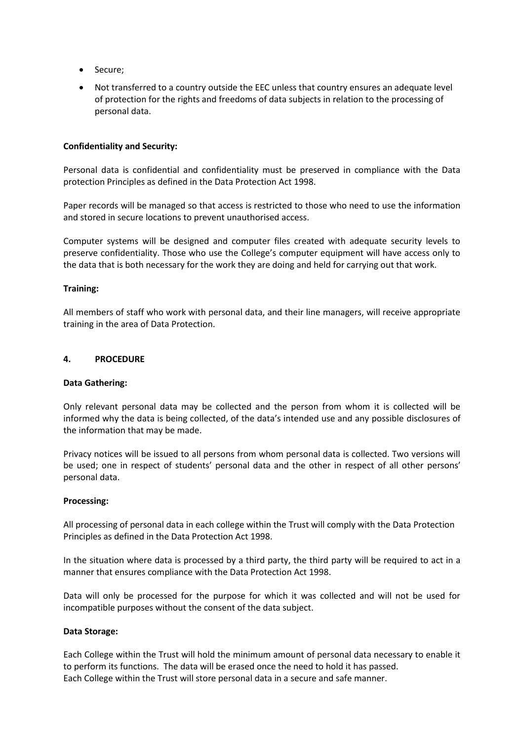- Secure;
- Not transferred to a country outside the EEC unless that country ensures an adequate level of protection for the rights and freedoms of data subjects in relation to the processing of personal data.

#### **Confidentiality and Security:**

Personal data is confidential and confidentiality must be preserved in compliance with the Data protection Principles as defined in the Data Protection Act 1998.

Paper records will be managed so that access is restricted to those who need to use the information and stored in secure locations to prevent unauthorised access.

Computer systems will be designed and computer files created with adequate security levels to preserve confidentiality. Those who use the College's computer equipment will have access only to the data that is both necessary for the work they are doing and held for carrying out that work.

#### **Training:**

All members of staff who work with personal data, and their line managers, will receive appropriate training in the area of Data Protection.

#### **4. PROCEDURE**

#### **Data Gathering:**

Only relevant personal data may be collected and the person from whom it is collected will be informed why the data is being collected, of the data's intended use and any possible disclosures of the information that may be made.

Privacy notices will be issued to all persons from whom personal data is collected. Two versions will be used; one in respect of students' personal data and the other in respect of all other persons' personal data.

#### **Processing:**

All processing of personal data in each college within the Trust will comply with the Data Protection Principles as defined in the Data Protection Act 1998.

In the situation where data is processed by a third party, the third party will be required to act in a manner that ensures compliance with the Data Protection Act 1998.

Data will only be processed for the purpose for which it was collected and will not be used for incompatible purposes without the consent of the data subject.

#### **Data Storage:**

Each College within the Trust will hold the minimum amount of personal data necessary to enable it to perform its functions. The data will be erased once the need to hold it has passed. Each College within the Trust will store personal data in a secure and safe manner.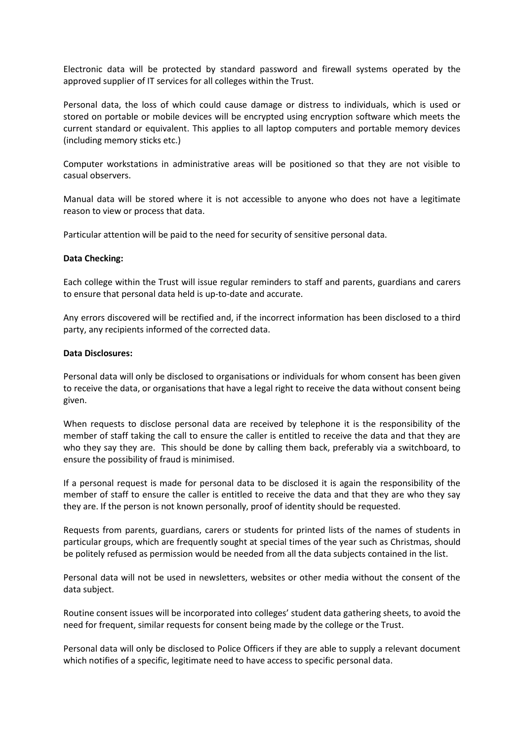Electronic data will be protected by standard password and firewall systems operated by the approved supplier of IT services for all colleges within the Trust.

Personal data, the loss of which could cause damage or distress to individuals, which is used or stored on portable or mobile devices will be encrypted using encryption software which meets the current standard or equivalent. This applies to all laptop computers and portable memory devices (including memory sticks etc.)

Computer workstations in administrative areas will be positioned so that they are not visible to casual observers.

Manual data will be stored where it is not accessible to anyone who does not have a legitimate reason to view or process that data.

Particular attention will be paid to the need for security of sensitive personal data.

#### **Data Checking:**

Each college within the Trust will issue regular reminders to staff and parents, guardians and carers to ensure that personal data held is up-to-date and accurate.

Any errors discovered will be rectified and, if the incorrect information has been disclosed to a third party, any recipients informed of the corrected data.

#### **Data Disclosures:**

Personal data will only be disclosed to organisations or individuals for whom consent has been given to receive the data, or organisations that have a legal right to receive the data without consent being given.

When requests to disclose personal data are received by telephone it is the responsibility of the member of staff taking the call to ensure the caller is entitled to receive the data and that they are who they say they are. This should be done by calling them back, preferably via a switchboard, to ensure the possibility of fraud is minimised.

If a personal request is made for personal data to be disclosed it is again the responsibility of the member of staff to ensure the caller is entitled to receive the data and that they are who they say they are. If the person is not known personally, proof of identity should be requested.

Requests from parents, guardians, carers or students for printed lists of the names of students in particular groups, which are frequently sought at special times of the year such as Christmas, should be politely refused as permission would be needed from all the data subjects contained in the list.

Personal data will not be used in newsletters, websites or other media without the consent of the data subject.

Routine consent issues will be incorporated into colleges' student data gathering sheets, to avoid the need for frequent, similar requests for consent being made by the college or the Trust.

Personal data will only be disclosed to Police Officers if they are able to supply a relevant document which notifies of a specific, legitimate need to have access to specific personal data.